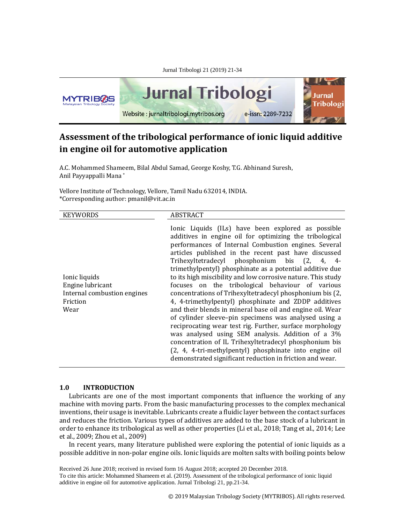

# **Assessment of the tribological performance of ionic liquid additive in engine oil for automotive application**

A.C. Mohammed Shameem, Bilal Abdul Samad, George Koshy, T.G. Abhinand Suresh, Anil Payyappalli Mana \*

Vellore Institute of Technology, Vellore, Tamil Nadu 632014, INDIA. \*Corresponding author: pmanil@vit.ac.in

| <b>KEYWORDS</b>                                                                      | ABSTRACT                                                                                                                                                                                                                                                                                                                                                                                                                                                                                                                                                                                                                                                                                                                                                                                                                                                                                                                                                                                                 |
|--------------------------------------------------------------------------------------|----------------------------------------------------------------------------------------------------------------------------------------------------------------------------------------------------------------------------------------------------------------------------------------------------------------------------------------------------------------------------------------------------------------------------------------------------------------------------------------------------------------------------------------------------------------------------------------------------------------------------------------------------------------------------------------------------------------------------------------------------------------------------------------------------------------------------------------------------------------------------------------------------------------------------------------------------------------------------------------------------------|
| Ionic liquids<br>Engine lubricant<br>Internal combustion engines<br>Friction<br>Wear | Ionic Liquids (ILs) have been explored as possible<br>additives in engine oil for optimizing the tribological<br>performances of Internal Combustion engines. Several<br>articles published in the recent past have discussed<br>Trihexyltetradecyl phosphonium bis (2, 4, 4-<br>trimethylpentyl) phosphinate as a potential additive due<br>to its high miscibility and low corrosive nature. This study<br>focuses on the tribological behaviour of various<br>concentrations of Trihexyltetradecyl phosphonium bis (2,<br>4, 4-trimethylpentyl) phosphinate and ZDDP additives<br>and their blends in mineral base oil and engine oil. Wear<br>of cylinder sleeve-pin specimens was analysed using a<br>reciprocating wear test rig. Further, surface morphology<br>was analysed using SEM analysis. Addition of a 3%<br>concentration of IL Trihexyltetradecyl phosphonium bis<br>(2, 4, 4-tri-methylpentyl) phosphinate into engine oil<br>demonstrated significant reduction in friction and wear. |

# **1.0 INTRODUCTION**

Lubricants are one of the most important components that influence the working of any machine with moving parts. From the basic manufacturing processes to the complex mechanical inventions, their usage is inevitable. Lubricants create a fluidic layer between the contact surfaces and reduces the friction. Various types of additives are added to the base stock of a lubricant in order to enhance its tribological as well as other properties (Li et al., 2018; Tang et al., 2014; Lee et al., 2009; Zhou et al., 2009)

In recent years, many literature published were exploring the potential of ionic liquids as a possible additive in non-polar engine oils. Ionic liquids are molten salts with boiling points below

Received 26 June 2018; received in revised form 16 August 2018; accepted 20 December 2018. To cite this article: Mohammed Shameem et al. (2019). Assessment of the tribological performance of ionic liquid additive in engine oil for automotive application. Jurnal Tribologi 21, pp.21-34.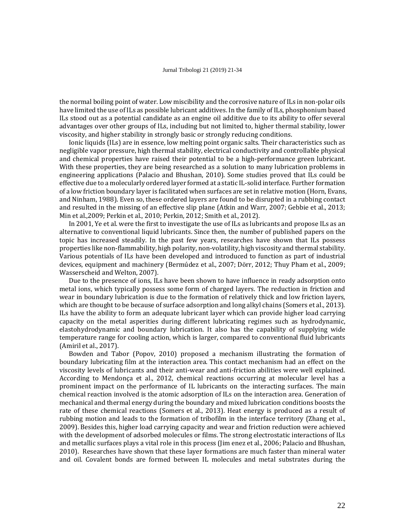the normal boiling point of water. Low miscibility and the corrosive nature of ILs in non-polar oils have limited the use of ILs as possible lubricant additives. In the family of ILs, phosphonium based ILs stood out as a potential candidate as an engine oil additive due to its ability to offer several advantages over other groups of ILs, including but not limited to, higher thermal stability, lower viscosity, and higher stability in strongly basic or strongly reducing conditions.

Ionic liquids (ILs) are in essence, low melting point organic salts. Their characteristics such as negligible vapor pressure, high thermal stability, electrical conductivity and controllable physical and chemical properties have raised their potential to be a high-performance green lubricant. With these properties, they are being researched as a solution to many lubrication problems in engineering applications (Palacio and Bhushan, 2010). Some studies proved that ILs could be effective due to a molecularly ordered layer formed at a static IL-solid interface. Further formation of a low friction boundary layer is facilitated when surfaces are set in relative motion (Horn, Evans, and Ninham, 1988). Even so, these ordered layers are found to be disrupted in a rubbing contact and resulted in the missing of an effective slip plane (Atkin and Warr, 2007; Gebbie et al., 2013; Min et al.,2009; Perkin et al., 2010; Perkin, 2012; Smith et al., 2012).

In 2001, Ye et al. were the first to investigate the use of ILs as lubricants and propose ILs as an alternative to conventional liquid lubricants. Since then, the number of published papers on the topic has increased steadily. In the past few years, researches have shown that ILs possess properties like non-flammability, high polarity, non-volatility, high viscosity and thermal stability. Various potentials of ILs have been developed and introduced to function as part of industrial devices, equipment and machinery (Bermúdez et al., 2007; Dörr, 2012; Thuy Pham et al., 2009; Wasserscheid and Welton, 2007).

Due to the presence of ions, ILs have been shown to have influence in ready adsorption onto metal ions, which typically possess some form of charged layers. The reduction in friction and wear in boundary lubrication is due to the formation of relatively thick and low friction layers, which are thought to be because of surface adsorption and long alkyl chains (Somers et al., 2013). ILs have the ability to form an adequate lubricant layer which can provide higher load carrying capacity on the metal asperities during different lubricating regimes such as hydrodynamic, elastohydrodynamic and boundary lubrication. It also has the capability of supplying wide temperature range for cooling action, which is larger, compared to conventional fluid lubricants (Amiril et al., 2017).

Bowden and Tabor (Popov, 2010) proposed a mechanism illustrating the formation of boundary lubricating film at the interaction area. This contact mechanism had an effect on the viscosity levels of lubricants and their anti-wear and anti-friction abilities were well explained. According to Mendonça et al., 2012, chemical reactions occurring at molecular level has a prominent impact on the performance of IL lubricants on the interacting surfaces. The main chemical reaction involved is the atomic adsorption of ILs on the interaction area. Generation of mechanical and thermal energy during the boundary and mixed lubrication conditions boosts the rate of these chemical reactions (Somers et al., 2013). Heat energy is produced as a result of rubbing motion and leads to the formation of tribofilm in the interface territory (Zhang et al., 2009). Besides this, higher load carrying capacity and wear and friction reduction were achieved with the development of adsorbed molecules or films. The strong electrostatic interactions of ILs and metallic surfaces plays a vital role in this process (Jim enez et al., 2006; Palacio and Bhushan, 2010). Researches have shown that these layer formations are much faster than mineral water and oil. Covalent bonds are formed between IL molecules and metal substrates during the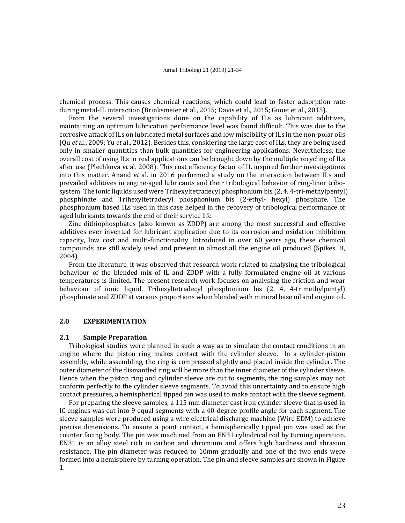chemical process. This causes chemical reactions, which could lead to faster adsorption rate during metal-IL interaction (Brinksmeier et al., 2015; Davis et al., 2015; Guoet et al., 2015).

From the several investigations done on the capability of ILs as lubricant additives, maintaining an optimum lubrication performance level was found difficult. This was due to the corrosive attack of ILs on lubricated metal surfaces and low miscibility of ILs in the non-polar oils (Qu *et* al., 2009; Yu *et* al., 2012). Besides this, considering the large cost of ILs, they are being used only in smaller quantities than bulk quantities for engineering applications. Nevertheless, the overall cost of using ILs in real applications can be brought down by the multiple recycling of ILs after use (Plechkova *et* al. 2008). This cost efficiency factor of IL inspired further investigations into this matter. Anand *et* al. in 2016 performed a study on the interaction between ILs and prevailed additives in engine-aged lubricants and their tribological behavior of ring-liner tribosystem. The ionic liquids used were Trihexyltetradecyl phosphonium bis (2, 4, 4-tri-methylpentyl) phosphinate and Trihexyltetradecyl phosphonium bis (2-ethyl- hexyl) phosphate. The phosphonium based ILs used in this case helped in the recovery of tribological performance of aged lubricants towards the end of their service life.

Zinc dithiophosphates (also known as ZDDP) are among the most successful and effective additives ever invented for lubricant application due to its corrosion and oxidation inhibition capacity, low cost and multi-functionality. Introduced in over 60 years ago, these chemical compounds are still widely used and present in almost all the engine oil produced (Spikes. H, 2004).

From the literature, it was observed that research work related to analysing the tribological behaviour of the blended mix of IL and ZDDP with a fully formulated engine oil at various temperatures is limited. The present research work focuses on analysing the friction and wear behaviour of ionic liquid, Trihexyltetradecyl phosphonium bis (2, 4, 4-trimethylpentyl) phosphinate and ZDDP at various proportions when blended with mineral base oil and engine oil.

### **2.0 EXPERIMENTATION**

# **2.1 Sample Preparation**

Tribological studies were planned in such a way as to simulate the contact conditions in an engine where the piston ring makes contact with the cylinder sleeve. In a cylinder-piston assembly, while assembling, the ring is compressed slightly and placed inside the cylinder. The outer diameter of the dismantled ring will be more than the inner diameter of the cylinder sleeve. Hence when the piston ring and cylinder sleeve are cut to segments, the ring samples may not conform perfectly to the cylinder sleeve segments. To avoid this uncertainty and to ensure high contact pressures, a hemispherical tipped pin was used to make contact with the sleeve segment.

For preparing the sleeve samples, a 115 mm diameter cast iron cylinder sleeve that is used in IC engines was cut into 9 equal segments with a 40-degree profile angle for each segment. The sleeve samples were produced using a wire electrical discharge machine (Wire EDM) to achieve precise dimensions. To ensure a point contact, a hemispherically tipped pin was used as the counter facing body. The pin was machined from an EN31 cylindrical rod by turning operation. EN31 is an alloy steel rich in carbon and chromium and offers high hardness and abrasion resistance. The pin diameter was reduced to 10mm gradually and one of the two ends were formed into a hemisphere by turning operation. The pin and sleeve samples are shown in Figure 1.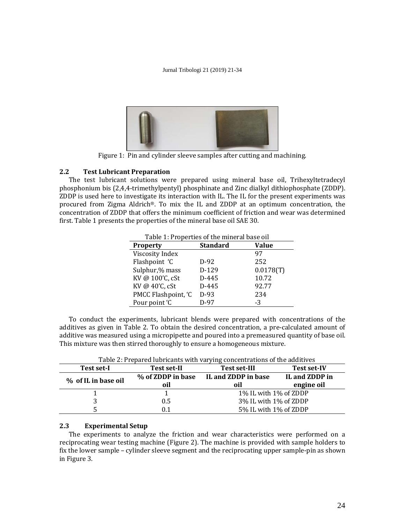

Figure 1: Pin and cylinder sleeve samples after cutting and machining.

# **2.2 Test Lubricant Preparation**

The test lubricant solutions were prepared using mineral base oil, Trihexyltetradecyl phosphonium bis (2,4,4-trimethylpentyl) phosphinate and Zinc dialkyl dithiophosphate (ZDDP). ZDDP is used here to investigate its interaction with IL. The IL for the present experiments was procured from Zigma Aldrich®. To mix the IL and ZDDP at an optimum concentration, the concentration of ZDDP that offers the minimum coefficient of friction and wear was determined first. Table 1 presents the properties of the mineral base oil SAE 30.

| Table 1: Properties of the mineral base oil |                 |              |  |
|---------------------------------------------|-----------------|--------------|--|
| <b>Property</b>                             | <b>Standard</b> | <b>Value</b> |  |
| Viscosity Index                             |                 | 97           |  |
| Flashpoint 'C                               | $D-92$          | 252          |  |
| Sulphur,% mass                              | D-129           | 0.0178(T)    |  |
| KV @ 100'C, cSt                             | $D-445$         | 10.72        |  |
| KV @ 40'C, cSt                              | D-445           | 92.77        |  |
| PMCC Flashpoint, 'C                         | $D-93$          | 234          |  |
| Pour point 'C                               | $D-97$          | -3           |  |

To conduct the experiments, lubricant blends were prepared with concentrations of the additives as given in Table 2. To obtain the desired concentration, a pre-calculated amount of additive was measured using a micropipette and poured into a premeasured quantity of base oil. This mixture was then stirred thoroughly to ensure a homogeneous mixture.

| Test set-I          | <b>Test set-II</b> | <b>Test set-III</b>   | <b>Test set-IV</b> |
|---------------------|--------------------|-----------------------|--------------------|
| % of IL in base oil | % of ZDDP in base  | IL and ZDDP in base   | IL and ZDDP in     |
|                     | oil                | oil                   | engine oil         |
|                     |                    | 1% IL with 1% of ZDDP |                    |
|                     | 0.5                | 3% IL with 1% of ZDDP |                    |
|                     | ገ.1                | 5% IL with 1% of ZDDP |                    |

Table 2: Prepared lubricants with varying concentrations of the additives

# **2.3 Experimental Setup**

The experiments to analyze the friction and wear characteristics were performed on a reciprocating wear testing machine (Figure 2). The machine is provided with sample holders to fix the lower sample – cylinder sleeve segment and the reciprocating upper sample-pin as shown in Figure 3.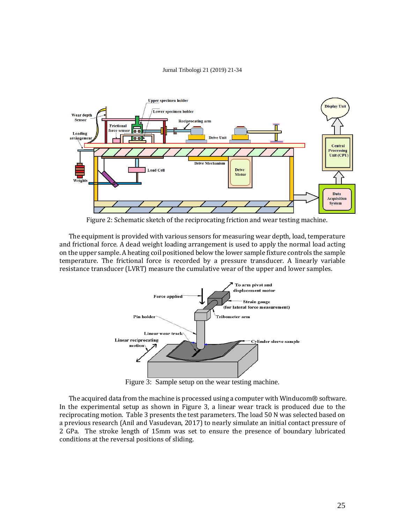

Figure 2: Schematic sketch of the reciprocating friction and wear testing machine.

The equipment is provided with various sensors for measuring wear depth, load, temperature and frictional force. A dead weight loading arrangement is used to apply the normal load acting on the upper sample. A heating coil positioned below the lower sample fixture controls the sample temperature. The frictional force is recorded by a pressure transducer. A linearly variable resistance transducer (LVRT) measure the cumulative wear of the upper and lower samples.



Figure 3: Sample setup on the wear testing machine.

The acquired data from the machine is processed using a computer with Winducom® software. In the experimental setup as shown in Figure 3, a linear wear track is produced due to the reciprocating motion. Table 3 presents the test parameters. The load 50 N was selected based on a previous research (Anil and Vasudevan, 2017) to nearly simulate an initial contact pressure of 2 GPa. The stroke length of 15mm was set to ensure the presence of boundary lubricated conditions at the reversal positions of sliding.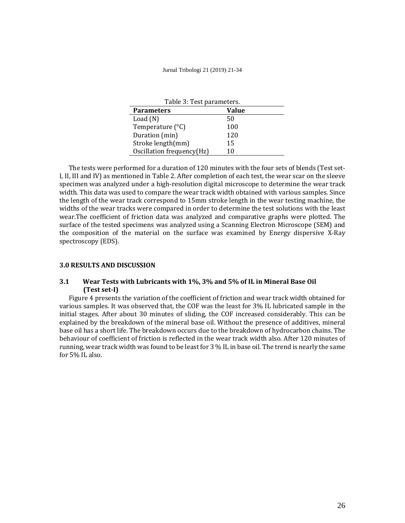| Table 3: Test parameters. |       |  |
|---------------------------|-------|--|
| <b>Parameters</b>         | Value |  |
| Load $(N)$                | 50    |  |
| Temperature $(^{\circ}C)$ | 100   |  |
| Duration (min)            | 120   |  |
| Stroke length(mm)         | 15    |  |
| Oscillation frequency(Hz) | 10    |  |

The tests were performed for a duration of 120 minutes with the four sets of blends (Test set-I, II, III and IV) as mentioned in Table 2. After completion of each test, the wear scar on the sleeve specimen was analyzed under a high-resolution digital microscope to determine the wear track width. This data was used to compare the wear track width obtained with various samples. Since the length of the wear track correspond to 15mm stroke length in the wear testing machine, the widths of the wear tracks were compared in order to determine the test solutions with the least wear.The coefficient of friction data was analyzed and comparative graphs were plotted. The surface of the tested specimens was analyzed using a Scanning Electron Microscope (SEM) and the composition of the material on the surface was examined by Energy dispersive X-Ray spectroscopy (EDS).

# **3.0 RESULTS AND DISCUSSION**

# **3.1 Wear Tests with Lubricants with 1%, 3% and 5% of IL in Mineral Base Oil (Test set-I)**

Figure 4 presents the variation of the coefficient of friction and wear track width obtained for various samples. It was observed that, the COF was the least for 3% IL lubricated sample in the initial stages. After about 30 minutes of sliding, the COF increased considerably. This can be explained by the breakdown of the mineral base oil. Without the presence of additives, mineral base oil has a short life. The breakdown occurs due to the breakdown of hydrocarbon chains. The behaviour of coefficient of friction is reflected in the wear track width also. After 120 minutes of running, wear track width was found to be least for 3 % IL in base oil. The trend is nearly the same for 5% IL also.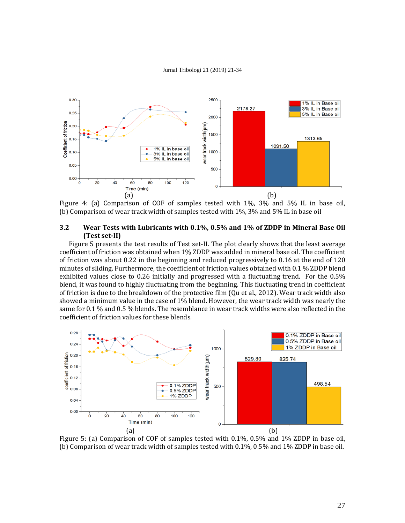

Figure 4: (a) Comparison of COF of samples tested with 1%, 3% and 5% IL in base oil, (b) Comparison of wear track width of samples tested with 1%, 3% and 5% IL in base oil

# **3.2 Wear Tests with Lubricants with 0.1%, 0.5% and 1% of ZDDP in Mineral Base Oil (Test set-II)**

Figure 5 presents the test results of Test set-II. The plot clearly shows that the least average coefficient of friction was obtained when 1% ZDDP was added in mineral base oil. The coefficient of friction was about 0.22 in the beginning and reduced progressively to 0.16 at the end of 120 minutes of sliding. Furthermore, the coefficient of friction values obtained with 0.1 % ZDDP blend exhibited values close to 0.26 initially and progressed with a fluctuating trend. For the 0.5% blend, it was found to highly fluctuating from the beginning. This fluctuating trend in coefficient of friction is due to the breakdown of the protective film (Qu et al., 2012). Wear track width also showed a minimum value in the case of 1% blend. However, the wear track width was nearly the same for 0.1 % and 0.5 % blends. The resemblance in wear track widths were also reflected in the coefficient of friction values for these blends.



Figure 5: (a) Comparison of COF of samples tested with 0.1%, 0.5% and 1% ZDDP in base oil, (b) Comparison of wear track width of samples tested with 0.1%, 0.5% and 1% ZDDP in base oil.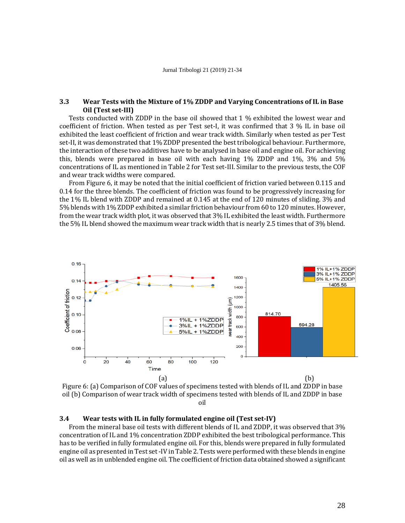# **3.3 Wear Tests with the Mixture of 1% ZDDP and Varying Concentrations of IL in Base Oil (Test set-III)**

Tests conducted with ZDDP in the base oil showed that 1 % exhibited the lowest wear and coefficient of friction. When tested as per Test set-I, it was confirmed that 3 % IL in base oil exhibited the least coefficient of friction and wear track width. Similarly when tested as per Test set-II, it was demonstrated that 1% ZDDP presented the best tribological behaviour. Furthermore, the interaction of these two additives have to be analysed in base oil and engine oil. For achieving this, blends were prepared in base oil with each having 1% ZDDP and 1%, 3% and 5% concentrations of IL as mentioned in Table 2 for Test set-III. Similar to the previous tests, the COF and wear track widths were compared.

From Figure 6, it may be noted that the initial coefficient of friction varied between 0.115 and 0.14 for the three blends. The coefficient of friction was found to be progressively increasing for the 1% IL blend with ZDDP and remained at 0.145 at the end of 120 minutes of sliding. 3% and 5% blends with 1% ZDDP exhibited a similar friction behaviour from 60 to 120 minutes. However, from the wear track width plot, it was observed that 3% IL exhibited the least width. Furthermore the 5% IL blend showed the maximum wear track width that is nearly 2.5 times that of 3% blend.



Figure 6: (a) Comparison of COF values of specimens tested with blends of IL and ZDDP in base oil (b) Comparison of wear track width of specimens tested with blends of IL and ZDDP in base oil

### **3.4 Wear tests with IL in fully formulated engine oil (Test set-IV)**

From the mineral base oil tests with different blends of IL and ZDDP, it was observed that 3% concentration of IL and 1% concentration ZDDP exhibited the best tribological performance. This has to be verified in fully formulated engine oil. For this, blends were prepared in fully formulated engine oil as presented in Test set -IV in Table 2. Tests were performed with these blends in engine oil as well as in unblended engine oil. The coefficient of friction data obtained showed a significant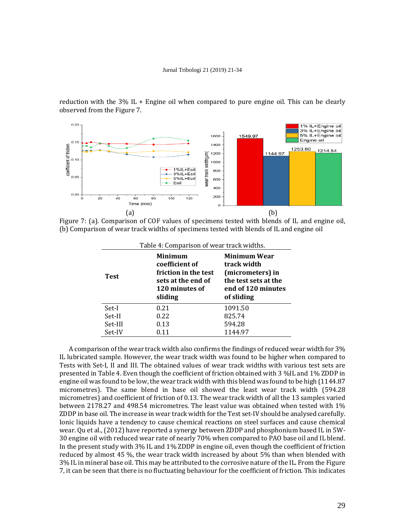reduction with the 3% IL + Engine oil when compared to pure engine oil. This can be clearly observed from the Figure 7.



Figure 7: (a). Comparison of COF values of specimens tested with blends of IL and engine oil, (b) Comparison of wear track widths of specimens tested with blends of IL and engine oil

| Table 4: Comparison of wear track widths.                                                                                  |      |                                                                                                             |  |
|----------------------------------------------------------------------------------------------------------------------------|------|-------------------------------------------------------------------------------------------------------------|--|
| <b>Minimum</b><br>coefficient of<br>friction in the test<br><b>Test</b><br>sets at the end of<br>120 minutes of<br>sliding |      | Minimum Wear<br>track width<br>(micrometers) in<br>the test sets at the<br>end of 120 minutes<br>of sliding |  |
| Set-I                                                                                                                      | 0.21 | 1091.50                                                                                                     |  |
| Set-II                                                                                                                     | 0.22 | 825.74                                                                                                      |  |
| Set-III                                                                                                                    | 0.13 | 594.28                                                                                                      |  |
| Set-IV                                                                                                                     | 0.11 | 1144.97                                                                                                     |  |

A comparison of the wear track width also confirms the findings of reduced wear width for 3% IL lubricated sample. However, the wear track width was found to be higher when compared to Tests with Set-I, II and III. The obtained values of wear track widths with various test sets are presented in Table 4. Even though the coefficient of friction obtained with 3 %IL and 1% ZDDP in engine oil was found to be low, the wear track width with this blend was found to be high (1144.87 micrometres). The same blend in base oil showed the least wear track width (594.28 micrometres) and coefficient of friction of 0.13. The wear track width of all the 13 samples varied between 2178.27 and 498.54 micrometres. The least value was obtained when tested with 1% ZDDP in base oil. The increase in wear track width for the Test set-IV should be analysed carefully. Ionic liquids have a tendency to cause chemical reactions on steel surfaces and cause chemical wear. Qu et al., (2012) have reported a synergy between ZDDP and phosphonium based IL in 5W-30 engine oil with reduced wear rate of nearly 70% when compared to PAO base oil and IL blend. In the present study with 3% IL and 1% ZDDP in engine oil, even though the coefficient of friction reduced by almost 45 %, the wear track width increased by about 5% than when blended with 3% IL in mineral base oil. This may be attributed to the corrosive nature of the IL. From the Figure 7, it can be seen that there is no fluctuating behaviour for the coefficient of friction. This indicates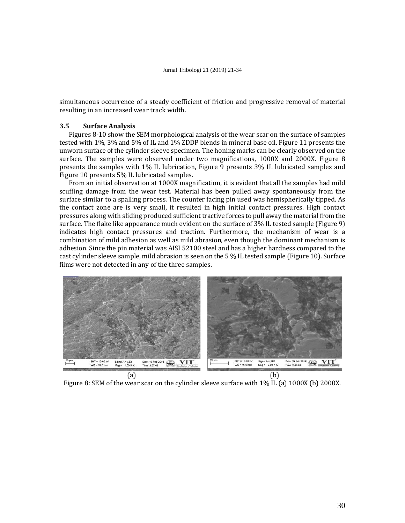simultaneous occurrence of a steady coefficient of friction and progressive removal of material resulting in an increased wear track width.

### **3.5 Surface Analysis**

Figures 8-10 show the SEM morphological analysis of the wear scar on the surface of samples tested with 1%, 3% and 5% of IL and 1% ZDDP blends in mineral base oil. Figure 11 presents the unworn surface of the cylinder sleeve specimen. The honing marks can be clearly observed on the surface. The samples were observed under two magnifications, 1000X and 2000X. Figure 8 presents the samples with 1% IL lubrication, Figure 9 presents 3% IL lubricated samples and Figure 10 presents 5% IL lubricated samples.

From an initial observation at 1000X magnification, it is evident that all the samples had mild scuffing damage from the wear test. Material has been pulled away spontaneously from the surface similar to a spalling process. The counter facing pin used was hemispherically tipped. As the contact zone are is very small, it resulted in high initial contact pressures. High contact pressures along with sliding produced sufficient tractive forces to pull away the material from the surface. The flake like appearance much evident on the surface of 3% IL tested sample (Figure 9) indicates high contact pressures and traction. Furthermore, the mechanism of wear is a combination of mild adhesion as well as mild abrasion, even though the dominant mechanism is adhesion. Since the pin material was AISI 52100 steel and has a higher hardness compared to the cast cylinder sleeve sample, mild abrasion is seen on the 5 % IL tested sample (Figure 10). Surface films were not detected in any of the three samples.



Figure 8: SEM of the wear scar on the cylinder sleeve surface with 1% IL (a) 1000X (b) 2000X.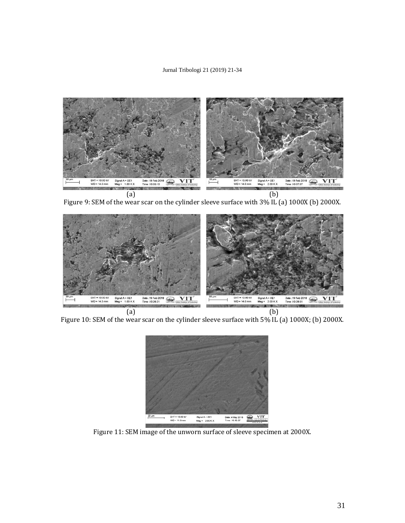

Figure 9: SEM of the wear scar on the cylinder sleeve surface with 3% IL (a) 1000X (b) 2000X.



Figure 10: SEM of the wear scar on the cylinder sleeve surface with 5% IL (a) 1000X; (b) 2000X.



Figure 11: SEM image of the unworn surface of sleeve specimen at 2000X.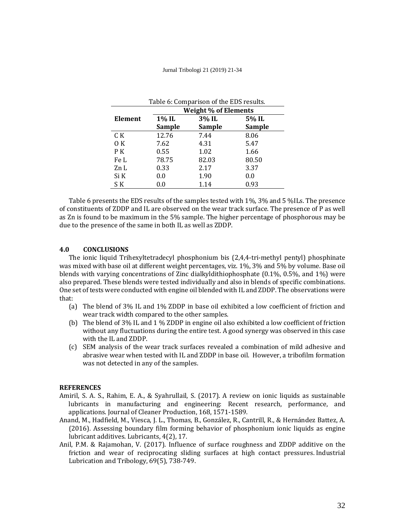| Table 6: Comparison of the EDS results. |                             |               |               |
|-----------------------------------------|-----------------------------|---------------|---------------|
|                                         | <b>Weight % of Elements</b> |               |               |
| Element                                 | 1% IL                       | 3% IL         | 5% IL         |
|                                         | <b>Sample</b>               | <b>Sample</b> | <b>Sample</b> |
| C K                                     | 12.76                       | 7.44          | 8.06          |
| 0K                                      | 7.62                        | 4.31          | 5.47          |
| P K                                     | 0.55                        | 1.02          | 1.66          |
| Fe L                                    | 78.75                       | 82.03         | 80.50         |
| Zn L                                    | 0.33                        | 2.17          | 3.37          |
| Si K                                    | 0.0                         | 1.90          | 0.0           |
| S K                                     | 0.0                         | 1.14          | 0.93          |

Table 6 presents the EDS results of the samples tested with 1%, 3% and 5 %ILs. The presence of constituents of ZDDP and IL are observed on the wear track surface. The presence of P as well as Zn is found to be maximum in the 5% sample. The higher percentage of phosphorous may be due to the presence of the same in both IL as well as ZDDP.

### **4.0 CONCLUSIONS**

The ionic liquid Trihexyltetradecyl phosphonium bis (2,4,4-tri-methyl pentyl) phosphinate was mixed with base oil at different weight percentages, viz. 1%, 3% and 5% by volume. Base oil blends with varying concentrations of Zinc dialkyldithiophosphate (0.1%, 0.5%, and 1%) were also prepared. These blends were tested individually and also in blends of specific combinations. One set of tests were conducted with engine oil blended with IL and ZDDP. The observations were that:

- (a) The blend of 3% IL and 1% ZDDP in base oil exhibited a low coefficient of friction and wear track width compared to the other samples.
- (b) The blend of 3% IL and 1 % ZDDP in engine oil also exhibited a low coefficient of friction without any fluctuations during the entire test. A good synergy was observed in this case with the IL and ZDDP.
- (c) SEM analysis of the wear track surfaces revealed a combination of mild adhesive and abrasive wear when tested with IL and ZDDP in base oil. However, a tribofilm formation was not detected in any of the samples.

### **REFERENCES**

- Amiril, S. A. S., Rahim, E. A., & Syahrullail, S. (2017). A review on ionic liquids as sustainable lubricants in manufacturing and engineering: Recent research, performance, and applications. Journal of Cleaner Production, 168, 1571-1589.
- Anand, M., Hadfield, M., Viesca, J. L., Thomas, B., González, R., Cantrill, R., & Hernández Battez, A. (2016). Assessing boundary film forming behavior of phosphonium ionic liquids as engine lubricant additives. Lubricants, 4(2), 17.
- Anil, P.M. & Rajamohan, V. (2017). Influence of surface roughness and ZDDP additive on the friction and wear of reciprocating sliding surfaces at high contact pressures. Industrial Lubrication and Tribology, 69(5), 738-749.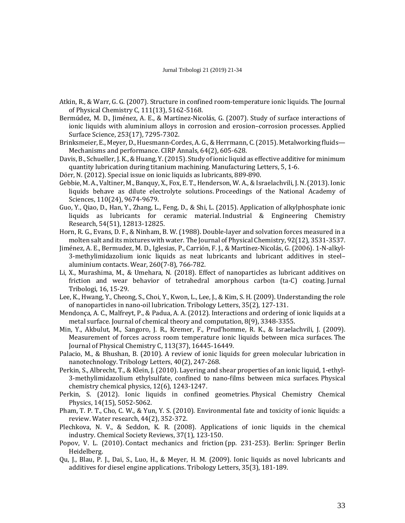- Atkin, R., & Warr, G. G. (2007). Structure in confined room-temperature ionic liquids. The Journal of Physical Chemistry C, 111(13), 5162-5168.
- Bermúdez, M. D., Jiménez, A. E., & Martínez-Nicolás, G. (2007). Study of surface interactions of ionic liquids with aluminium alloys in corrosion and erosion–corrosion processes. Applied Surface Science, 253(17), 7295-7302.
- Brinksmeier, E., Meyer, D., Huesmann-Cordes, A. G., & Herrmann, C. (2015). Metalworking fluids— Mechanisms and performance. CIRP Annals, 64(2), 605-628.
- Davis, B., Schueller, J. K., & Huang, Y. (2015). Study of ionic liquid as effective additive for minimum quantity lubrication during titanium machining. Manufacturing Letters, 5, 1-6.
- Dörr, N. (2012). Special issue on ionic liquids as lubricants, 889-890.
- Gebbie, M. A., Valtiner, M., Banquy, X., Fox, E. T., Henderson, W. A., & Israelachvili, J. N. (2013). Ionic liquids behave as dilute electrolyte solutions. Proceedings of the National Academy of Sciences, 110(24), 9674-9679.
- Guo, Y., Qiao, D., Han, Y., Zhang, L., Feng, D., & Shi, L. (2015). Application of alkylphosphate ionic liquids as lubricants for ceramic material. Industrial & Engineering Chemistry Research, 54(51), 12813-12825.
- Horn, R. G., Evans, D. F., & Ninham, B. W. (1988). Double-layer and solvation forces measured in a molten salt and its mixtures with water. The Journal of Physical Chemistry, 92(12), 3531-3537.
- Jiménez, A. E., Bermudez, M. D., Iglesias, P., Carrión, F. J., & Martínez-Nicolás, G. (2006). 1-N-alkyl-3-methylimidazolium ionic liquids as neat lubricants and lubricant additives in steel– aluminium contacts. Wear, 260(7-8), 766-782.
- Li, X., Murashima, M., & Umehara, N. (2018). Effect of nanoparticles as lubricant additives on friction and wear behavior of tetrahedral amorphous carbon (ta-C) coating. Jurnal Tribologi, 16, 15-29.
- Lee, K., Hwang, Y., Cheong, S., Choi, Y., Kwon, L., Lee, J., & Kim, S. H. (2009). Understanding the role of nanoparticles in nano-oil lubrication. Tribology Letters, 35(2), 127-131.
- Mendonça, A. C., Malfreyt, P., & Padua, A. A. (2012). Interactions and ordering of ionic liquids at a metal surface. Journal of chemical theory and computation, 8(9), 3348-3355.
- Min, Y., Akbulut, M., Sangoro, J. R., Kremer, F., Prud'homme, R. K., & Israelachvili, J. (2009). Measurement of forces across room temperature ionic liquids between mica surfaces. The Journal of Physical Chemistry C, 113(37), 16445-16449.
- Palacio, M., & Bhushan, B. (2010). A review of ionic liquids for green molecular lubrication in nanotechnology. Tribology Letters, 40(2), 247-268.
- Perkin, S., Albrecht, T., & Klein, J. (2010). Layering and shear properties of an ionic liquid, 1-ethyl-3-methylimidazolium ethylsulfate, confined to nano-films between mica surfaces. Physical chemistry chemical physics, 12(6), 1243-1247.
- Perkin, S. (2012). Ionic liquids in confined geometries. Physical Chemistry Chemical Physics, 14(15), 5052-5062.
- Pham, T. P. T., Cho, C. W., & Yun, Y. S. (2010). Environmental fate and toxicity of ionic liquids: a review. Water research, 44(2), 352-372.
- Plechkova, N. V., & Seddon, K. R. (2008). Applications of ionic liquids in the chemical industry. Chemical Society Reviews, 37(1), 123-150.
- Popov, V. L. (2010). Contact mechanics and friction (pp. 231-253). Berlin: Springer Berlin Heidelberg.
- Qu, J., Blau, P. J., Dai, S., Luo, H., & Meyer, H. M. (2009). Ionic liquids as novel lubricants and additives for diesel engine applications. Tribology Letters, 35(3), 181-189.